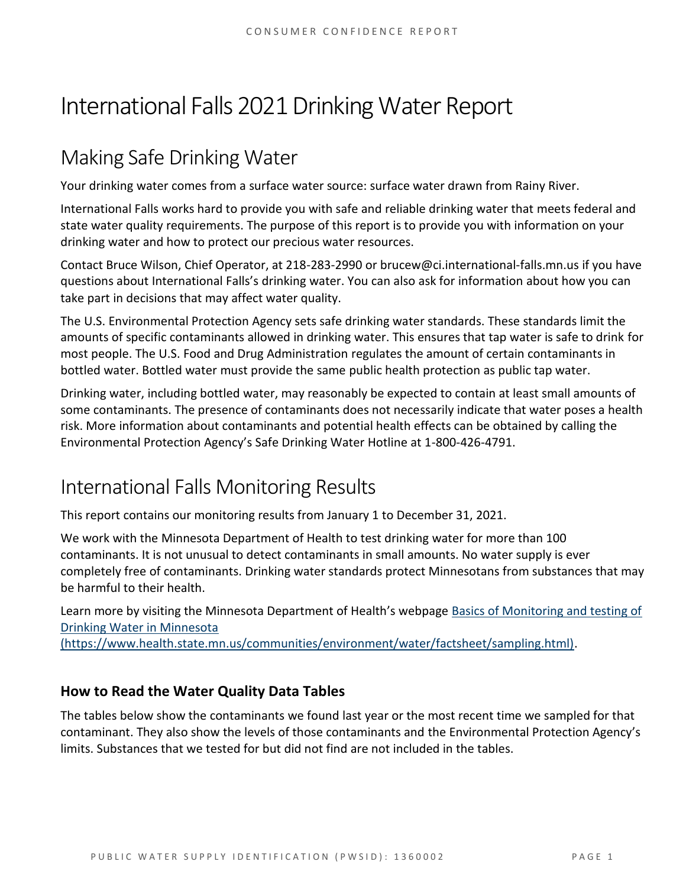# International Falls 2021Drinking Water Report

## Making Safe Drinking Water

Your drinking water comes from a surface water source: surface water drawn from Rainy River.

International Falls works hard to provide you with safe and reliable drinking water that meets federal and state water quality requirements. The purpose of this report is to provide you with information on your drinking water and how to protect our precious water resources.

Contact Bruce Wilson, Chief Operator, at 218-283-2990 or brucew@ci.international-falls.mn.us if you have questions about International Falls's drinking water. You can also ask for information about how you can take part in decisions that may affect water quality.

The U.S. Environmental Protection Agency sets safe drinking water standards. These standards limit the amounts of specific contaminants allowed in drinking water. This ensures that tap water is safe to drink for most people. The U.S. Food and Drug Administration regulates the amount of certain contaminants in bottled water. Bottled water must provide the same public health protection as public tap water.

Drinking water, including bottled water, may reasonably be expected to contain at least small amounts of some contaminants. The presence of contaminants does not necessarily indicate that water poses a health risk. More information about contaminants and potential health effects can be obtained by calling the Environmental Protection Agency's Safe Drinking Water Hotline at 1-800-426-4791.

### International Falls Monitoring Results

This report contains our monitoring results from January 1 to December 31, 2021.

We work with the Minnesota Department of Health to test drinking water for more than 100 contaminants. It is not unusual to detect contaminants in small amounts. No water supply is ever completely free of contaminants. Drinking water standards protect Minnesotans from substances that may be harmful to their health.

Learn more by visiting the Minnesota Department of Health's webpage [Basics of Monitoring and testing of](https://www.health.state.mn.us/communities/environment/water/factsheet/sampling.html)  [Drinking Water in Minnesota](https://www.health.state.mn.us/communities/environment/water/factsheet/sampling.html) 

[\(https://www.health.state.mn.us/communities/environment/water/factsheet/sampling.html\).](https://www.health.state.mn.us/communities/environment/water/factsheet/sampling.html)

#### **How to Read the Water Quality Data Tables**

The tables below show the contaminants we found last year or the most recent time we sampled for that contaminant. They also show the levels of those contaminants and the Environmental Protection Agency's limits. Substances that we tested for but did not find are not included in the tables.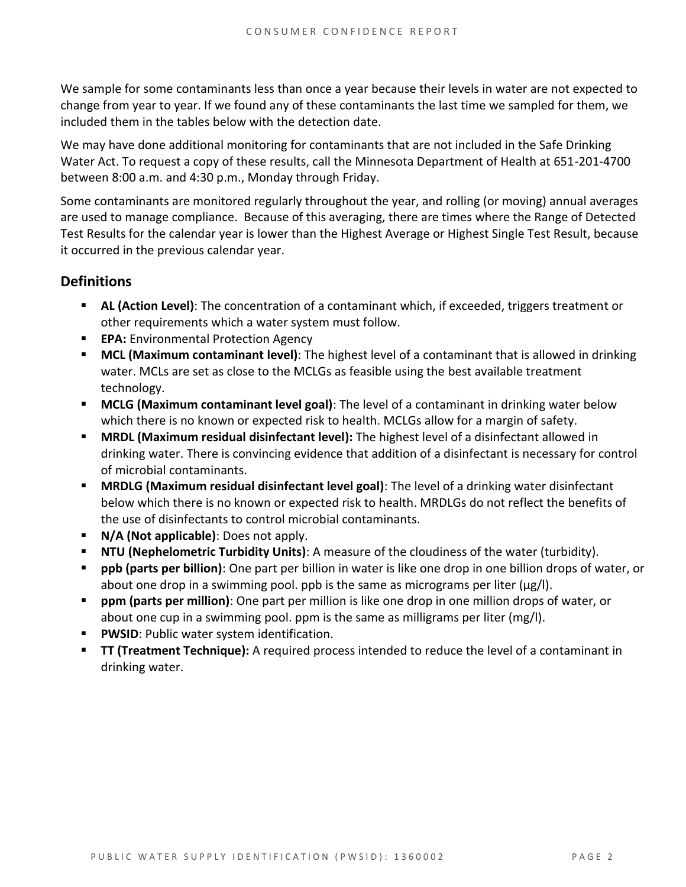We sample for some contaminants less than once a year because their levels in water are not expected to change from year to year. If we found any of these contaminants the last time we sampled for them, we included them in the tables below with the detection date.

We may have done additional monitoring for contaminants that are not included in the Safe Drinking Water Act. To request a copy of these results, call the Minnesota Department of Health at 651-201-4700 between 8:00 a.m. and 4:30 p.m., Monday through Friday.

Some contaminants are monitored regularly throughout the year, and rolling (or moving) annual averages are used to manage compliance. Because of this averaging, there are times where the Range of Detected Test Results for the calendar year is lower than the Highest Average or Highest Single Test Result, because it occurred in the previous calendar year.

#### **Definitions**

- **AL (Action Level)**: The concentration of a contaminant which, if exceeded, triggers treatment or other requirements which a water system must follow.
- **EPA:** Environmental Protection Agency
- **MCL (Maximum contaminant level)**: The highest level of a contaminant that is allowed in drinking water. MCLs are set as close to the MCLGs as feasible using the best available treatment technology.
- **MCLG (Maximum contaminant level goal)**: The level of a contaminant in drinking water below which there is no known or expected risk to health. MCLGs allow for a margin of safety.
- **MRDL (Maximum residual disinfectant level):** The highest level of a disinfectant allowed in drinking water. There is convincing evidence that addition of a disinfectant is necessary for control of microbial contaminants.
- **MRDLG (Maximum residual disinfectant level goal)**: The level of a drinking water disinfectant below which there is no known or expected risk to health. MRDLGs do not reflect the benefits of the use of disinfectants to control microbial contaminants.
- **N/A (Not applicable)**: Does not apply.
- **NTU (Nephelometric Turbidity Units)**: A measure of the cloudiness of the water (turbidity).
- **ppb (parts per billion)**: One part per billion in water is like one drop in one billion drops of water, or about one drop in a swimming pool. ppb is the same as micrograms per liter (μg/l).
- **ppm (parts per million)**: One part per million is like one drop in one million drops of water, or about one cup in a swimming pool. ppm is the same as milligrams per liter (mg/l).
- **PWSID:** Public water system identification.
- **TT (Treatment Technique):** A required process intended to reduce the level of a contaminant in drinking water.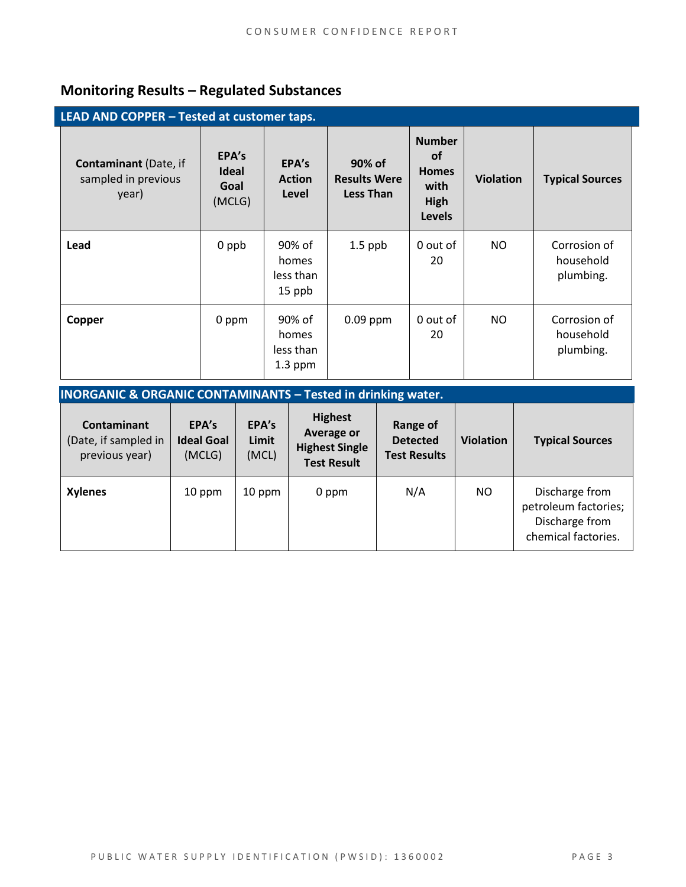### **Monitoring Results – Regulated Substances**

| LEAD AND COPPER - Tested at customer taps.                   |                                         |                                           |                                                   |                                                                                    |                  |                                        |  |
|--------------------------------------------------------------|-----------------------------------------|-------------------------------------------|---------------------------------------------------|------------------------------------------------------------------------------------|------------------|----------------------------------------|--|
| <b>Contaminant</b> (Date, if<br>sampled in previous<br>year) | EPA's<br><b>Ideal</b><br>Goal<br>(MCLG) | EPA's<br><b>Action</b><br>Level           | 90% of<br><b>Results Were</b><br><b>Less Than</b> | <b>Number</b><br><b>of</b><br><b>Homes</b><br>with<br><b>High</b><br><b>Levels</b> | <b>Violation</b> | <b>Typical Sources</b>                 |  |
| Lead                                                         | 0 ppb                                   | 90% of<br>homes<br>less than<br>15 ppb    | $1.5$ ppb                                         | 0 out of<br>20                                                                     | NO.              | Corrosion of<br>household<br>plumbing. |  |
| Copper                                                       | 0 ppm                                   | 90% of<br>homes<br>less than<br>$1.3$ ppm | $0.09$ ppm                                        | 0 out of<br>20                                                                     | <b>NO</b>        | Corrosion of<br>household<br>plumbing. |  |

| <b>INORGANIC &amp; ORGANIC CONTAMINANTS - Tested in drinking water.</b> |                                      |                         |                                                                                    |                                                    |                  |                                                                                 |  |  |
|-------------------------------------------------------------------------|--------------------------------------|-------------------------|------------------------------------------------------------------------------------|----------------------------------------------------|------------------|---------------------------------------------------------------------------------|--|--|
| <b>Contaminant</b><br>(Date, if sampled in<br>previous year)            | EPA's<br><b>Ideal Goal</b><br>(MCLG) | EPA's<br>Limit<br>(MCL) | <b>Highest</b><br><b>Average or</b><br><b>Highest Single</b><br><b>Test Result</b> | Range of<br><b>Detected</b><br><b>Test Results</b> | <b>Violation</b> | <b>Typical Sources</b>                                                          |  |  |
| <b>Xylenes</b>                                                          | 10 ppm                               | 10 ppm                  | 0 ppm                                                                              | N/A                                                | NO.              | Discharge from<br>petroleum factories;<br>Discharge from<br>chemical factories. |  |  |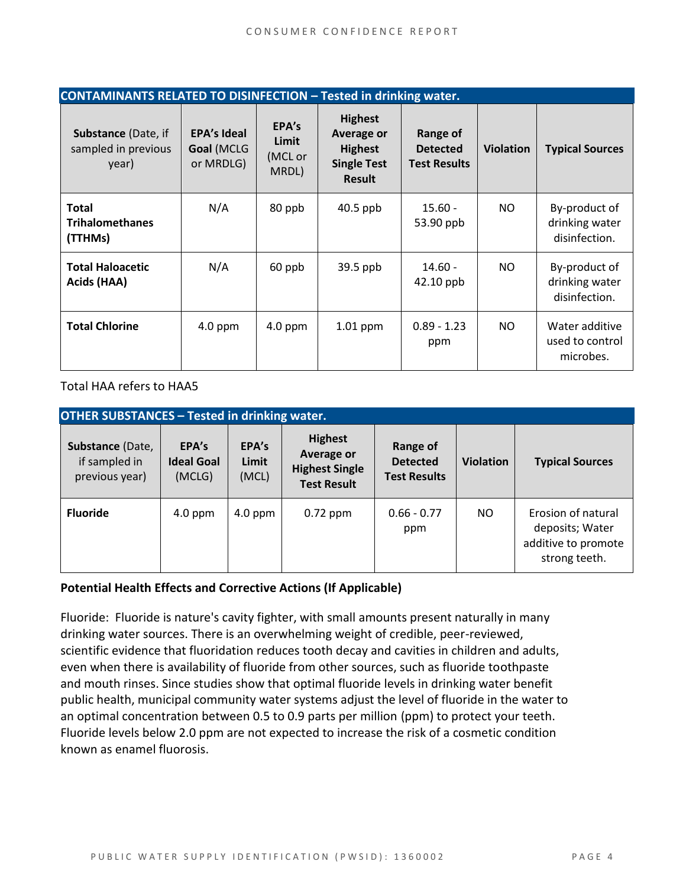| <b>CONTAMINANTS RELATED TO DISINFECTION - Tested in drinking water.</b> |                                               |                                    |                                                                                       |                                                    |                  |                                                  |  |
|-------------------------------------------------------------------------|-----------------------------------------------|------------------------------------|---------------------------------------------------------------------------------------|----------------------------------------------------|------------------|--------------------------------------------------|--|
| <b>Substance (Date, if</b><br>sampled in previous<br>year)              | <b>EPA's Ideal</b><br>Goal (MCLG<br>or MRDLG) | EPA's<br>Limit<br>(MCL or<br>MRDL) | <b>Highest</b><br>Average or<br><b>Highest</b><br><b>Single Test</b><br><b>Result</b> | Range of<br><b>Detected</b><br><b>Test Results</b> | <b>Violation</b> | <b>Typical Sources</b>                           |  |
| <b>Total</b><br><b>Trihalomethanes</b><br>(TTHMs)                       | N/A                                           | 80 ppb                             | $40.5$ ppb                                                                            | $15.60 -$<br>53.90 ppb                             | NO.              | By-product of<br>drinking water<br>disinfection. |  |
| <b>Total Haloacetic</b><br>Acids (HAA)                                  | N/A                                           | 60 ppb                             | $39.5$ ppb                                                                            | $14.60 -$<br>42.10 ppb                             | NO.              | By-product of<br>drinking water<br>disinfection. |  |
| <b>Total Chlorine</b>                                                   | $4.0$ ppm                                     | $4.0$ ppm                          | $1.01$ ppm                                                                            | $0.89 - 1.23$<br>ppm                               | NO.              | Water additive<br>used to control<br>microbes.   |  |

Total HAA refers to HAA5

| <b>OTHER SUBSTANCES - Tested in drinking water.</b> |                                      |                         |                                                                             |                                                    |                  |                                                                               |  |  |
|-----------------------------------------------------|--------------------------------------|-------------------------|-----------------------------------------------------------------------------|----------------------------------------------------|------------------|-------------------------------------------------------------------------------|--|--|
| Substance (Date,<br>if sampled in<br>previous year) | EPA's<br><b>Ideal Goal</b><br>(MCLG) | EPA's<br>Limit<br>(MCL) | <b>Highest</b><br>Average or<br><b>Highest Single</b><br><b>Test Result</b> | Range of<br><b>Detected</b><br><b>Test Results</b> | <b>Violation</b> | <b>Typical Sources</b>                                                        |  |  |
| <b>Fluoride</b>                                     | $4.0$ ppm                            | $4.0$ ppm               | $0.72$ ppm                                                                  | $0.66 - 0.77$<br>ppm                               | NO.              | Erosion of natural<br>deposits; Water<br>additive to promote<br>strong teeth. |  |  |

#### **Potential Health Effects and Corrective Actions (If Applicable)**

Fluoride: Fluoride is nature's cavity fighter, with small amounts present naturally in many drinking water sources. There is an overwhelming weight of credible, peer-reviewed, scientific evidence that fluoridation reduces tooth decay and cavities in children and adults, even when there is availability of fluoride from other sources, such as fluoride toothpaste and mouth rinses. Since studies show that optimal fluoride levels in drinking water benefit public health, municipal community water systems adjust the level of fluoride in the water to an optimal concentration between 0.5 to 0.9 parts per million (ppm) to protect your teeth. Fluoride levels below 2.0 ppm are not expected to increase the risk of a cosmetic condition known as enamel fluorosis.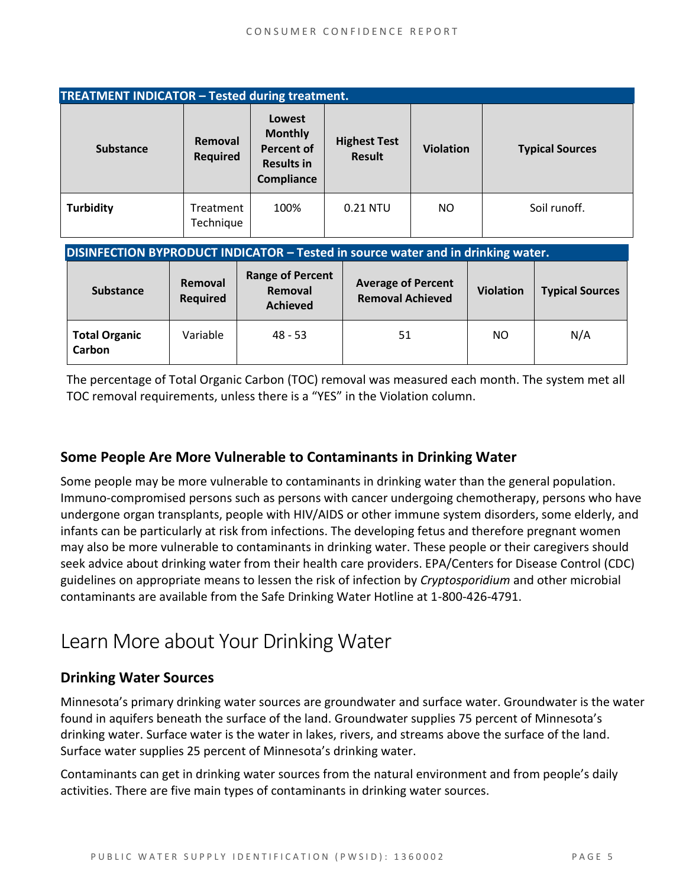| TREATMENT INDICATOR - Tested during treatment.                                   |                            |                                                                           |                                                      |                  |                  |                        |  |  |
|----------------------------------------------------------------------------------|----------------------------|---------------------------------------------------------------------------|------------------------------------------------------|------------------|------------------|------------------------|--|--|
| <b>Substance</b>                                                                 | Removal<br><b>Required</b> | Lowest<br><b>Monthly</b><br>Percent of<br><b>Results in</b><br>Compliance | <b>Highest Test</b><br><b>Result</b>                 | <b>Violation</b> |                  | <b>Typical Sources</b> |  |  |
| <b>Turbidity</b>                                                                 | Treatment<br>Technique     | 100%                                                                      | 0.21 NTU                                             | NO.              |                  | Soil runoff.           |  |  |
| DISINFECTION BYPRODUCT INDICATOR - Tested in source water and in drinking water. |                            |                                                                           |                                                      |                  |                  |                        |  |  |
| <b>Substance</b>                                                                 | Removal<br><b>Required</b> | <b>Range of Percent</b><br>Removal<br><b>Achieved</b>                     | <b>Average of Percent</b><br><b>Removal Achieved</b> |                  | <b>Violation</b> | <b>Typical Sources</b> |  |  |
| <b>Total Organic</b><br>Carbon                                                   | Variable                   | $48 - 53$                                                                 |                                                      | 51               |                  | N/A                    |  |  |

The percentage of Total Organic Carbon (TOC) removal was measured each month. The system met all TOC removal requirements, unless there is a "YES" in the Violation column.

#### **Some People Are More Vulnerable to Contaminants in Drinking Water**

Some people may be more vulnerable to contaminants in drinking water than the general population. Immuno-compromised persons such as persons with cancer undergoing chemotherapy, persons who have undergone organ transplants, people with HIV/AIDS or other immune system disorders, some elderly, and infants can be particularly at risk from infections. The developing fetus and therefore pregnant women may also be more vulnerable to contaminants in drinking water. These people or their caregivers should seek advice about drinking water from their health care providers. EPA/Centers for Disease Control (CDC) guidelines on appropriate means to lessen the risk of infection by *Cryptosporidium* and other microbial contaminants are available from the Safe Drinking Water Hotline at 1-800-426-4791.

### Learn More about Your Drinking Water

#### **Drinking Water Sources**

Minnesota's primary drinking water sources are groundwater and surface water. Groundwater is the water found in aquifers beneath the surface of the land. Groundwater supplies 75 percent of Minnesota's drinking water. Surface water is the water in lakes, rivers, and streams above the surface of the land. Surface water supplies 25 percent of Minnesota's drinking water.

Contaminants can get in drinking water sources from the natural environment and from people's daily activities. There are five main types of contaminants in drinking water sources.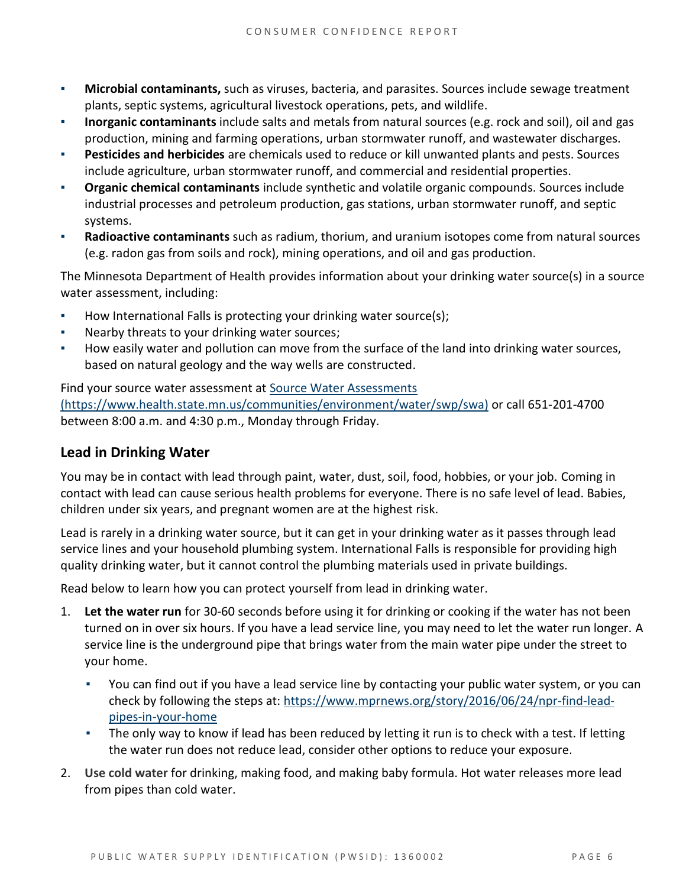- **Microbial contaminants,** such as viruses, bacteria, and parasites. Sources include sewage treatment plants, septic systems, agricultural livestock operations, pets, and wildlife.
- **Inorganic contaminants** include salts and metals from natural sources (e.g. rock and soil), oil and gas production, mining and farming operations, urban stormwater runoff, and wastewater discharges.
- **Pesticides and herbicides** are chemicals used to reduce or kill unwanted plants and pests. Sources include agriculture, urban stormwater runoff, and commercial and residential properties.
- **Organic chemical contaminants** include synthetic and volatile organic compounds. Sources include industrial processes and petroleum production, gas stations, urban stormwater runoff, and septic systems.
- **Radioactive contaminants** such as radium, thorium, and uranium isotopes come from natural sources (e.g. radon gas from soils and rock), mining operations, and oil and gas production.

The Minnesota Department of Health provides information about your drinking water source(s) in a source water assessment, including:

- How International Falls is protecting your drinking water source(s);
- Nearby threats to your drinking water sources;
- How easily water and pollution can move from the surface of the land into drinking water sources, based on natural geology and the way wells are constructed.

Find your source water assessment at [Source Water Assessments](https://www.health.state.mn.us/communities/environment/water/swp/swa)  [\(https://www.health.state.mn.us/communities/environment/water/swp/swa\)](https://www.health.state.mn.us/communities/environment/water/swp/swa) or call 651-201-4700 between 8:00 a.m. and 4:30 p.m., Monday through Friday.

#### **Lead in Drinking Water**

You may be in contact with lead through paint, water, dust, soil, food, hobbies, or your job. Coming in contact with lead can cause serious health problems for everyone. There is no safe level of lead. Babies, children under six years, and pregnant women are at the highest risk.

Lead is rarely in a drinking water source, but it can get in your drinking water as it passes through lead service lines and your household plumbing system. International Falls is responsible for providing high quality drinking water, but it cannot control the plumbing materials used in private buildings.

Read below to learn how you can protect yourself from lead in drinking water.

- 1. **Let the water run** for 30-60 seconds before using it for drinking or cooking if the water has not been turned on in over six hours. If you have a lead service line, you may need to let the water run longer. A service line is the underground pipe that brings water from the main water pipe under the street to your home.
	- You can find out if you have a lead service line by contacting your public water system, or you can check by following the steps at: [https://www.mprnews.org/story/2016/06/24/npr-find-lead](https://www.mprnews.org/story/2016/06/24/npr-find-lead-pipes-in-your-home)[pipes-in-your-home](https://www.mprnews.org/story/2016/06/24/npr-find-lead-pipes-in-your-home)
	- The only way to know if lead has been reduced by letting it run is to check with a test. If letting the water run does not reduce lead, consider other options to reduce your exposure.
- 2. **Use cold water** for drinking, making food, and making baby formula. Hot water releases more lead from pipes than cold water.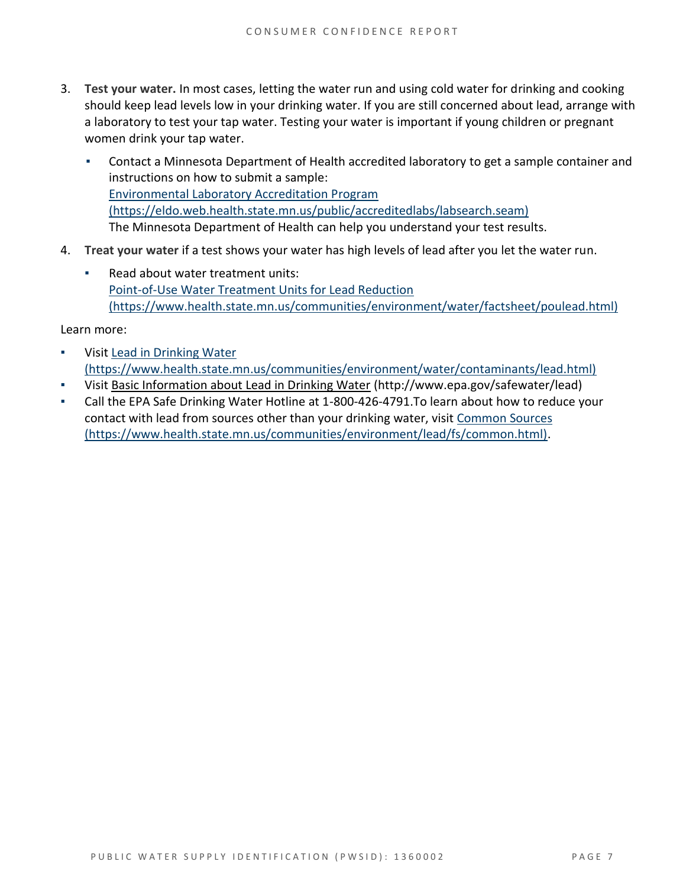- 3. **Test your water.** In most cases, letting the water run and using cold water for drinking and cooking should keep lead levels low in your drinking water. If you are still concerned about lead, arrange with a laboratory to test your tap water. Testing your water is important if young children or pregnant women drink your tap water.
	- Contact a Minnesota Department of Health accredited laboratory to get a sample container and instructions on how to submit a sample: [Environmental Laboratory Accreditation Program](https://eldo.web.health.state.mn.us/public/accreditedlabs/labsearch.seam)  [\(https://eldo.web.health.state.mn.us/public/accreditedlabs/labsearch.seam\)](https://eldo.web.health.state.mn.us/public/accreditedlabs/labsearch.seam) The Minnesota Department of Health can help you understand your test results.
- 4. **Treat your water** if a test shows your water has high levels of lead after you let the water run.
	- Read about water treatment units: [Point-of-Use Water Treatment Units for Lead Reduction](https://www.health.state.mn.us/communities/environment/water/factsheet/poulead.html)  [\(https://www.health.state.mn.us/communities/environment/water/factsheet/poulead.html\)](https://www.health.state.mn.us/communities/environment/water/factsheet/poulead.html)

Learn more:

- Visit Lead in Drinking Water [\(https://www.health.state.mn.us/communities/environment/water/contaminants/lead.html\)](https://www.health.state.mn.us/communities/environment/water/contaminants/lead.html)
- Visit [Basic Information about Lead in Drinking Water](http://www.epa.gov/safewater/lead) (http://www.epa.gov/safewater/lead)
- Call the EPA Safe Drinking Water Hotline at 1-800-426-4791. To learn about how to reduce your contact with lead from sources other than your drinking water, visi[t Common Sources](https://www.health.state.mn.us/communities/environment/lead/fs/common.html)  [\(https://www.health.state.mn.us/communities/environment/lead/fs/common.html\).](https://www.health.state.mn.us/communities/environment/lead/fs/common.html)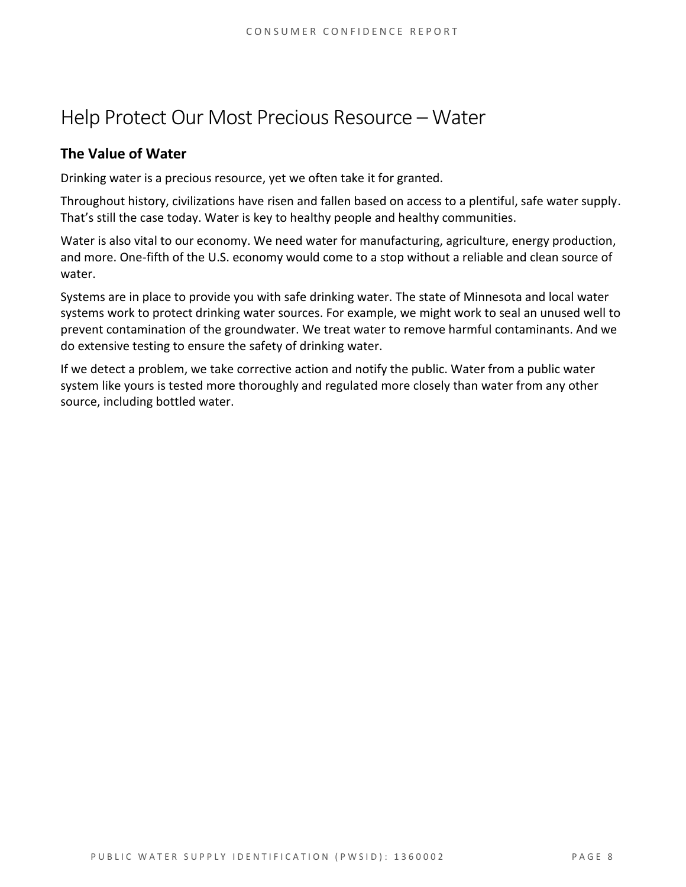### Help Protect Our Most Precious Resource – Water

#### **The Value of Water**

Drinking water is a precious resource, yet we often take it for granted.

Throughout history, civilizations have risen and fallen based on access to a plentiful, safe water supply. That's still the case today. Water is key to healthy people and healthy communities.

Water is also vital to our economy. We need water for manufacturing, agriculture, energy production, and more. One-fifth of the U.S. economy would come to a stop without a reliable and clean source of water.

Systems are in place to provide you with safe drinking water. The state of Minnesota and local water systems work to protect drinking water sources. For example, we might work to seal an unused well to prevent contamination of the groundwater. We treat water to remove harmful contaminants. And we do extensive testing to ensure the safety of drinking water.

If we detect a problem, we take corrective action and notify the public. Water from a public water system like yours is tested more thoroughly and regulated more closely than water from any other source, including bottled water.